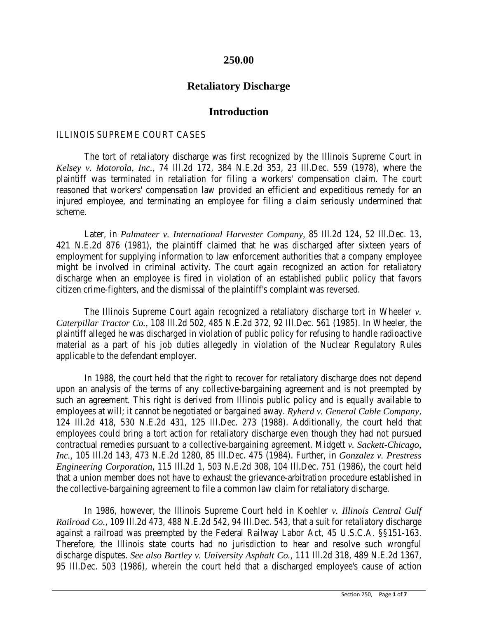## **250.00**

# **Retaliatory Discharge**

### **Introduction**

#### ILLINOIS SUPREME COURT CASES

The tort of retaliatory discharge was first recognized by the Illinois Supreme Court in *Kelsey v. Motorola, Inc.,* 74 Ill.2d 172, 384 N.E.2d 353, 23 Ill.Dec. 559 (1978), where the plaintiff was terminated in retaliation for filing a workers' compensation claim. The court reasoned that workers' compensation law provided an efficient and expeditious remedy for an injured employee, and terminating an employee for filing a claim seriously undermined that scheme.

Later, in *Palmateer v. International Harvester Company,* 85 Ill.2d 124, 52 Ill.Dec. 13, 421 N.E.2d 876 (1981), the plaintiff claimed that he was discharged after sixteen years of employment for supplying information to law enforcement authorities that a company employee might be involved in criminal activity. The court again recognized an action for retaliatory discharge when an employee is fired in violation of an established public policy that favors citizen crime-fighters, and the dismissal of the plaintiff's complaint was reversed.

The Illinois Supreme Court again recognized a retaliatory discharge tort in Wheeler *v. Caterpillar Tractor Co.,* 108 Ill.2d 502, 485 N.E.2d 372, 92 Ill.Dec. 561 (1985). In Wheeler, the plaintiff alleged he was discharged in violation of public policy for refusing to handle radioactive material as a part of his job duties allegedly in violation of the Nuclear Regulatory Rules applicable to the defendant employer.

In 1988, the court held that the right to recover for retaliatory discharge does not depend upon an analysis of the terms of any collective-bargaining agreement and is not preempted by such an agreement. This right is derived from Illinois public policy and is equally available to employees at will; it cannot be negotiated or bargained away. *Ryherd v. General Cable Company*, 124 Ill.2d 418, 530 N.E.2d 431, 125 Ill.Dec. 273 (1988). Additionally, the court held that employees could bring a tort action for retaliatory discharge even though they had not pursued contractual remedies pursuant to a collective-bargaining agreement. Midgett *v. Sackett-Chicago, Inc.,* 105 Ill.2d 143, 473 N.E.2d 1280, 85 Ill.Dec. 475 (1984). Further, in *Gonzalez v. Prestress Engineering Corporation*, 115 Ill.2d 1, 503 N.E.2d 308, 104 Ill.Dec. 751 (1986), the court held that a union member does not have to exhaust the grievance-arbitration procedure established in the collective-bargaining agreement to file a common law claim for retaliatory discharge.

In 1986, however, the Illinois Supreme Court held in Koehler *v. Illinois Central Gulf Railroad Co.*, 109 Ill.2d 473, 488 N.E.2d 542, 94 Ill.Dec. 543, that a suit for retaliatory discharge against a railroad was preempted by the Federal Railway Labor Act, 45 U.S.C.A. §§151-163. Therefore, the Illinois state courts had no jurisdiction to hear and resolve such wrongful discharge disputes. *See also Bartley v. University Asphalt Co.,* 111 Ill.2d 318, 489 N.E.2d 1367, 95 Ill.Dec. 503 (1986), wherein the court held that a discharged employee's cause of action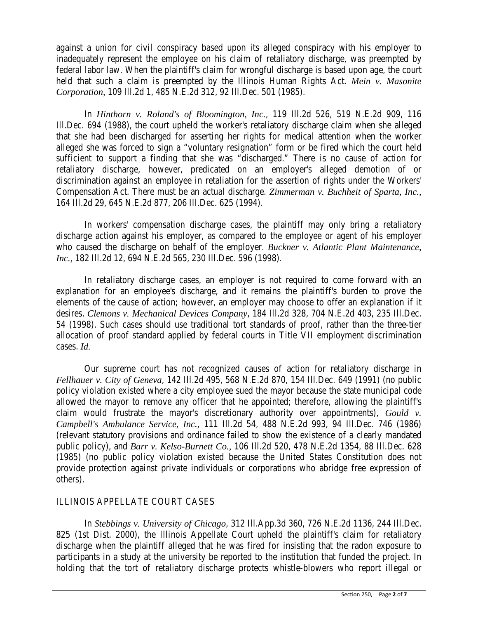against a union for civil conspiracy based upon its alleged conspiracy with his employer to inadequately represent the employee on his claim of retaliatory discharge, was preempted by federal labor law. When the plaintiff's claim for wrongful discharge is based upon age, the court held that such a claim is preempted by the Illinois Human Rights Act. *Mein v. Masonite Corporation,* 109 Ill.2d 1, 485 N.E.2d 312, 92 Ill.Dec. 501 (1985).

In *Hinthorn v. Roland's of Bloomington, Inc.*, 119 Ill.2d 526, 519 N.E.2d 909, 116 Ill.Dec. 694 (1988), the court upheld the worker's retaliatory discharge claim when she alleged that she had been discharged for asserting her rights for medical attention when the worker alleged she was forced to sign a "voluntary resignation" form or be fired which the court held sufficient to support a finding that she was "discharged." There is no cause of action for retaliatory discharge, however, predicated on an employer's alleged demotion of or discrimination against an employee in retaliation for the assertion of rights under the Workers' Compensation Act. There must be an actual discharge. *Zimmerman v. Buchheit of Sparta, Inc.,* 164 Ill.2d 29, 645 N.E.2d 877, 206 Ill.Dec. 625 (1994).

In workers' compensation discharge cases, the plaintiff may only bring a retaliatory discharge action against his employer, as compared to the employee or agent of his employer who caused the discharge on behalf of the employer. *Buckner v. Atlantic Plant Maintenance, Inc.,* 182 Ill.2d 12, 694 N.E.2d 565, 230 Ill.Dec. 596 (1998).

In retaliatory discharge cases, an employer is not required to come forward with an explanation for an employee's discharge, and it remains the plaintiff's burden to prove the elements of the cause of action; however, an employer may choose to offer an explanation if it desires. *Clemons v. Mechanical Devices Company*, 184 Ill.2d 328, 704 N.E.2d 403, 235 Ill.Dec. 54 (1998). Such cases should use traditional tort standards of proof, rather than the three-tier allocation of proof standard applied by federal courts in Title VII employment discrimination cases. *Id.*

Our supreme court has not recognized causes of action for retaliatory discharge in *Fellhauer v. City of Geneva*, 142 Ill.2d 495, 568 N.E.2d 870, 154 Ill.Dec. 649 (1991) (no public policy violation existed where a city employee sued the mayor because the state municipal code allowed the mayor to remove any officer that he appointed; therefore, allowing the plaintiff's claim would frustrate the mayor's discretionary authority over appointments), *Gould v. Campbell's Ambulance Service, Inc.,* 111 Ill.2d 54, 488 N.E.2d 993, 94 Ill.Dec. 746 (1986) (relevant statutory provisions and ordinance failed to show the existence of a clearly mandated public policy), and *Barr v. Kelso-Burnett Co.,* 106 Ill.2d 520, 478 N.E.2d 1354, 88 Ill.Dec. 628 (1985) (no public policy violation existed because the United States Constitution does not provide protection against private individuals or corporations who abridge free expression of others).

### ILLINOIS APPELLATE COURT CASES

In *Stebbings v. University of Chicago*, 312 Ill.App.3d 360, 726 N.E.2d 1136, 244 Ill.Dec. 825 (1st Dist. 2000), the Illinois Appellate Court upheld the plaintiff's claim for retaliatory discharge when the plaintiff alleged that he was fired for insisting that the radon exposure to participants in a study at the university be reported to the institution that funded the project. In holding that the tort of retaliatory discharge protects whistle-blowers who report illegal or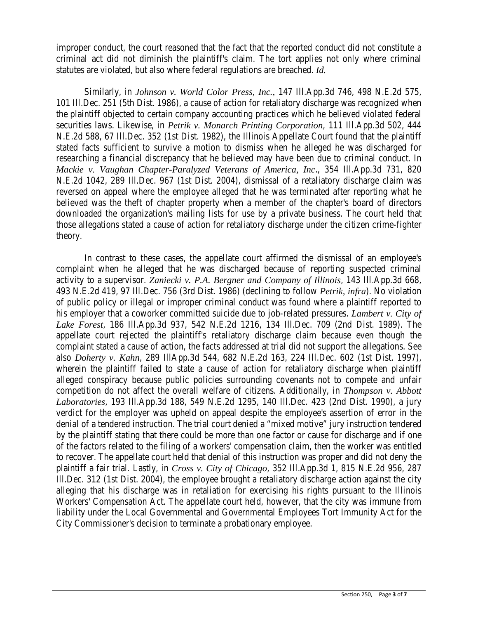improper conduct, the court reasoned that the fact that the reported conduct did not constitute a criminal act did not diminish the plaintiff's claim. The tort applies not only where criminal statutes are violated, but also where federal regulations are breached. *Id.*

Similarly, in *Johnson v. World Color Press, Inc.,* 147 Ill.App.3d 746, 498 N.E.2d 575, 101 Ill.Dec. 251 (5th Dist. 1986), a cause of action for retaliatory discharge was recognized when the plaintiff objected to certain company accounting practices which he believed violated federal securities laws. Likewise, in *Petrik v. Monarch Printing Corporation*, 111 Ill.App.3d 502, 444 N.E.2d 588, 67 Ill.Dec. 352 (1st Dist. 1982), the Illinois Appellate Court found that the plaintiff stated facts sufficient to survive a motion to dismiss when he alleged he was discharged for researching a financial discrepancy that he believed may have been due to criminal conduct. In *Mackie v. Vaughan Chapter-Paralyzed Veterans of America, Inc*., 354 Ill.App.3d 731, 820 N.E.2d 1042, 289 Ill.Dec. 967 (1st Dist. 2004), dismissal of a retaliatory discharge claim was reversed on appeal where the employee alleged that he was terminated after reporting what he believed was the theft of chapter property when a member of the chapter's board of directors downloaded the organization's mailing lists for use by a private business. The court held that those allegations stated a cause of action for retaliatory discharge under the citizen crime-fighter theory.

In contrast to these cases, the appellate court affirmed the dismissal of an employee's complaint when he alleged that he was discharged because of reporting suspected criminal activity to a supervisor. *Zaniecki v. P.A. Bergner and Company of Illinois*, 143 Ill.App.3d 668, 493 N.E.2d 419, 97 Ill.Dec. 756 (3rd Dist. 1986) (declining to follow *Petrik, infra*). No violation of public policy or illegal or improper criminal conduct was found where a plaintiff reported to his employer that a coworker committed suicide due to job-related pressures. *Lambert v. City of Lake Forest*, 186 Ill.App.3d 937, 542 N.E.2d 1216, 134 Ill.Dec. 709 (2nd Dist. 1989). The appellate court rejected the plaintiff's retaliatory discharge claim because even though the complaint stated a cause of action, the facts addressed at trial did not support the allegations. See also *Doherty v. Kahn*, 289 IllApp.3d 544, 682 N.E.2d 163, 224 Ill.Dec. 602 (1st Dist. 1997), wherein the plaintiff failed to state a cause of action for retaliatory discharge when plaintiff alleged conspiracy because public policies surrounding covenants not to compete and unfair competition do not affect the overall welfare of citizens. Additionally, in *Thompson v. Abbott Laboratories*, 193 Ill.App.3d 188, 549 N.E.2d 1295, 140 Ill.Dec. 423 (2nd Dist. 1990), a jury verdict for the employer was upheld on appeal despite the employee's assertion of error in the denial of a tendered instruction. The trial court denied a "mixed motive" jury instruction tendered by the plaintiff stating that there could be more than one factor or cause for discharge and if one of the factors related to the filing of a workers' compensation claim, then the worker was entitled to recover. The appellate court held that denial of this instruction was proper and did not deny the plaintiff a fair trial. Lastly, in *Cross v. City of Chicago*, 352 Ill.App.3d 1, 815 N.E.2d 956, 287 Ill.Dec. 312 (1st Dist. 2004), the employee brought a retaliatory discharge action against the city alleging that his discharge was in retaliation for exercising his rights pursuant to the Illinois Workers' Compensation Act. The appellate court held, however, that the city was immune from liability under the Local Governmental and Governmental Employees Tort Immunity Act for the City Commissioner's decision to terminate a probationary employee.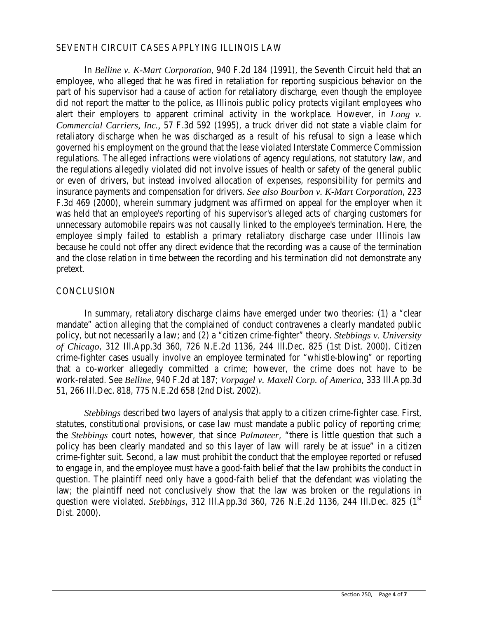### SEVENTH CIRCUIT CASES APPLYING ILLINOIS LAW

In *Belline v. K-Mart Corporation*, 940 F.2d 184 (1991), the Seventh Circuit held that an employee, who alleged that he was fired in retaliation for reporting suspicious behavior on the part of his supervisor had a cause of action for retaliatory discharge, even though the employee did not report the matter to the police, as Illinois public policy protects vigilant employees who alert their employers to apparent criminal activity in the workplace. However, in *Long v. Commercial Carriers, Inc.,* 57 F.3d 592 (1995), a truck driver did not state a viable claim for retaliatory discharge when he was discharged as a result of his refusal to sign a lease which governed his employment on the ground that the lease violated Interstate Commerce Commission regulations. The alleged infractions were violations of agency regulations, not statutory law, and the regulations allegedly violated did not involve issues of health or safety of the general public or even of drivers, but instead involved allocation of expenses, responsibility for permits and insurance payments and compensation for drivers. *See also Bourbon v. K-Mart Corporation*, 223 F.3d 469 (2000), wherein summary judgment was affirmed on appeal for the employer when it was held that an employee's reporting of his supervisor's alleged acts of charging customers for unnecessary automobile repairs was not causally linked to the employee's termination. Here, the employee simply failed to establish a primary retaliatory discharge case under Illinois law because he could not offer any direct evidence that the recording was a cause of the termination and the close relation in time between the recording and his termination did not demonstrate any pretext.

#### **CONCLUSION**

In summary, retaliatory discharge claims have emerged under two theories: (1) a "clear mandate" action alleging that the complained of conduct contravenes a clearly mandated public policy, but not necessarily a law; and (2) a "citizen crime-fighter" theory. *Stebbings v. University of Chicago*, 312 Ill.App.3d 360, 726 N.E.2d 1136, 244 Ill.Dec. 825 (1st Dist. 2000). Citizen crime-fighter cases usually involve an employee terminated for "whistle-blowing" or reporting that a co-worker allegedly committed a crime; however, the crime does not have to be work-related. See *Belline*, 940 F.2d at 187; *Vorpagel v. Maxell Corp. of America*, 333 Ill.App.3d 51, 266 Ill.Dec. 818, 775 N.E.2d 658 (2nd Dist. 2002).

*Stebbings* described two layers of analysis that apply to a citizen crime-fighter case. First, statutes, constitutional provisions, or case law must mandate a public policy of reporting crime; the *Stebbings* court notes, however, that since *Palmateer*, "there is little question that such a policy has been clearly mandated and so this layer of law will rarely be at issue" in a citizen crime-fighter suit. Second, a law must prohibit the conduct that the employee reported or refused to engage in, and the employee must have a good-faith belief that the law prohibits the conduct in question. The plaintiff need only have a good-faith belief that the defendant was violating the law; the plaintiff need not conclusively show that the law was broken or the regulations in question were violated. *Stebbings*, 312 Ill.App.3d 360, 726 N.E.2d 1136, 244 Ill.Dec. 825 (1<sup>st</sup>) Dist. 2000).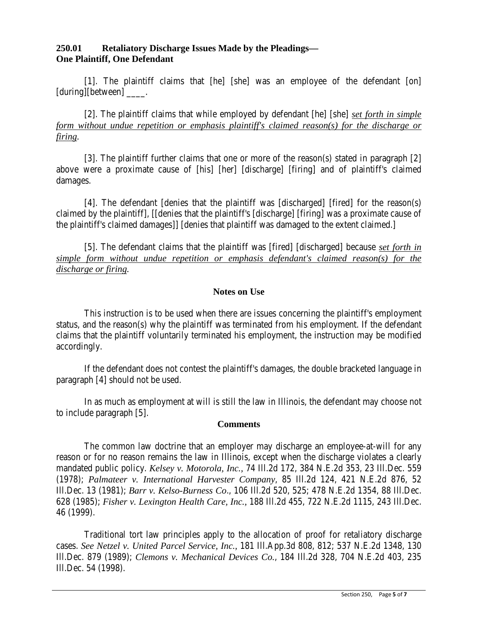# **250.01 Retaliatory Discharge Issues Made by the Pleadings— One Plaintiff, One Defendant**

[1]. The plaintiff claims that [he] [she] was an employee of the defendant [on] [during][between] \_\_\_\_\_\_.

[2]. The plaintiff claims that while employed by defendant [he] [she] *set forth in simple form without undue repetition or emphasis plaintiff's claimed reason(s) for the discharge or firing.*

[3]. The plaintiff further claims that one or more of the reason(s) stated in paragraph [2] above were a proximate cause of [his] [her] [discharge] [firing] and of plaintiff's claimed damages.

[4]. The defendant [denies that the plaintiff was [discharged] [fired] for the reason(s) claimed by the plaintiff], [[denies that the plaintiff's [discharge] [firing] was a proximate cause of the plaintiff's claimed damages]] [denies that plaintiff was damaged to the extent claimed.]

[5]. The defendant claims that the plaintiff was [fired] [discharged] because *set forth in simple form without undue repetition or emphasis defendant's claimed reason(s) for the discharge or firing.*

### **Notes on Use**

This instruction is to be used when there are issues concerning the plaintiff's employment status, and the reason(s) why the plaintiff was terminated from his employment. If the defendant claims that the plaintiff voluntarily terminated his employment, the instruction may be modified accordingly.

If the defendant does not contest the plaintiff's damages, the double bracketed language in paragraph [4] should not be used.

In as much as employment at will is still the law in Illinois, the defendant may choose not to include paragraph [5].

#### **Comments**

The common law doctrine that an employer may discharge an employee-at-will for any reason or for no reason remains the law in Illinois, except when the discharge violates a clearly mandated public policy. *Kelsey v. Motorola, Inc.,* 74 Ill.2d 172, 384 N.E.2d 353, 23 Ill.Dec. 559 (1978); *Palmateer v. International Harvester Company*, 85 Ill.2d 124, 421 N.E.2d 876, 52 Ill.Dec. 13 (1981); *Barr v. Kelso-Burness Co*., 106 Ill.2d 520, 525; 478 N.E.2d 1354, 88 Ill.Dec. 628 (1985); *Fisher v. Lexington Health Care, Inc.,* 188 Ill.2d 455, 722 N.E.2d 1115, 243 Ill.Dec. 46 (1999).

Traditional tort law principles apply to the allocation of proof for retaliatory discharge cases. *See Netzel v. United Parcel Service, Inc.,* 181 Ill.App.3d 808, 812; 537 N.E.2d 1348, 130 Ill.Dec. 879 (1989); *Clemons v. Mechanical Devices Co.*, 184 Ill.2d 328, 704 N.E.2d 403, 235 Ill.Dec. 54 (1998).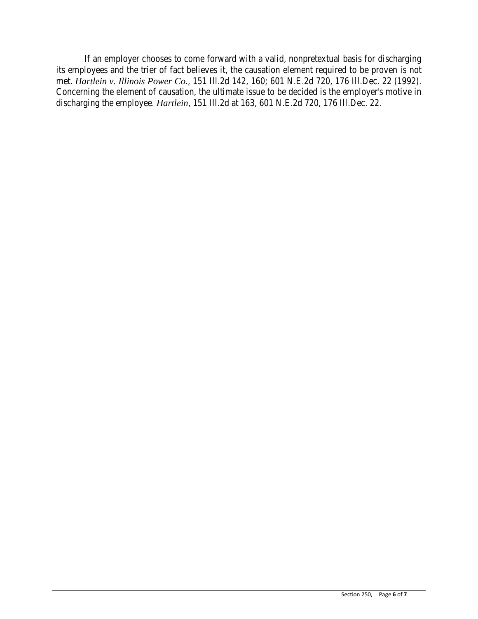If an employer chooses to come forward with a valid, nonpretextual basis for discharging its employees and the trier of fact believes it, the causation element required to be proven is not met. *Hartlein v. Illinois Power Co*., 151 Ill.2d 142, 160; 601 N.E.2d 720, 176 Ill.Dec. 22 (1992). Concerning the element of causation, the ultimate issue to be decided is the employer's motive in discharging the employee. *Hartlein*, 151 Ill.2d at 163, 601 N.E.2d 720, 176 Ill.Dec. 22.